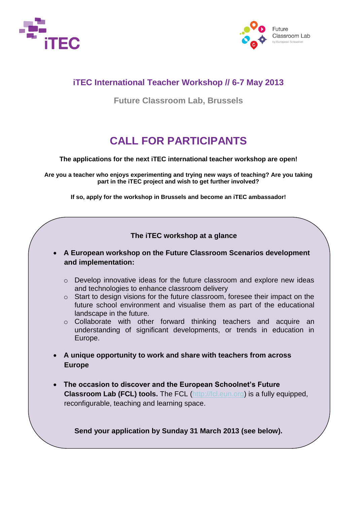



### **iTEC International Teacher Workshop // 6-7 May 2013**

**Future Classroom Lab, Brussels**

# **CALL FOR PARTICIPANTS**

**The applications for the next iTEC international teacher workshop are open!**

**Are you a teacher who enjoys experimenting and trying new ways of teaching? Are you taking part in the iTEC project and wish to get further involved?** 

**If so, apply for the workshop in Brussels and become an iTEC ambassador!**

### **The iTEC workshop at a glance**

- **A European workshop on the Future Classroom Scenarios development and implementation:** 
	- o Develop innovative ideas for the future classroom and explore new ideas and technologies to enhance classroom delivery
	- o Start to design visions for the future classroom, foresee their impact on the future school environment and visualise them as part of the educational landscape in the future.
	- o Collaborate with other forward thinking teachers and acquire an understanding of significant developments, or trends in education in Europe.
- **A unique opportunity to work and share with teachers from across Europe**
- **The occasion to discover and the European Schoolnet's Future Classroom Lab (FCL) tools.** The FCL [\(http://fcl.eun.org\)](http://fcl.eun.org/) is a fully equipped, reconfigurable, teaching and learning space.

**Send your application by Sunday 31 March 2013 (see below).**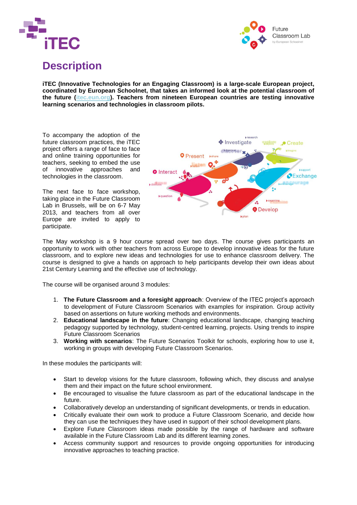



### **Description**

**iTEC (Innovative Technologies for an Engaging Classroom) is a large-scale European project, coordinated by European Schoolnet, that takes an informed look at the potential classroom of the future [\(itec.eun.org\)](file:///C:/Users/WE/AppData/Local/Microsoft/Windows/Temporary%20Internet%20Files/Content.Outlook/3KHLUHAJ/itec.eun.org). Teachers from nineteen European countries are testing innovative learning scenarios and technologies in classroom pilots.** 

To accompany the adoption of the future classroom practices, the iTEC project offers a range of face to face and online training opportunities for teachers, seeking to embed the use of innovative approaches and technologies in the classroom.

The next face to face workshop, taking place in the Future Classroom Lab in Brussels, will be on 6-7 May 2013, and teachers from all over Europe are invited to apply to participate.



The May workshop is a 9 hour course spread over two days. The course gives participants an opportunity to work with other teachers from across Europe to develop innovative ideas for the future classroom, and to explore new ideas and technologies for use to enhance classroom delivery. The course is designed to give a hands on approach to help participants develop their own ideas about 21st Century Learning and the effective use of technology.

The course will be organised around 3 modules:

- 1. **The Future Classroom and a foresight approach**: Overview of the ITEC project's approach to development of Future Classroom Scenarios with examples for inspiration. Group activity based on assertions on future working methods and environments.
- 2. **Educational landscape in the future**: Changing educational landscape, changing teaching pedagogy supported by technology, student-centred learning, projects. Using trends to inspire Future Classroom Scenarios
- 3. **Working with scenarios**: The Future Scenarios Toolkit for schools, exploring how to use it, working in groups with developing Future Classroom Scenarios.

In these modules the participants will:

- Start to develop visions for the future classroom, following which, they discuss and analyse them and their impact on the future school environment.
- Be encouraged to visualise the future classroom as part of the educational landscape in the future.
- Collaboratively develop an understanding of significant developments, or trends in education.
- Critically evaluate their own work to produce a Future Classroom Scenario, and decide how they can use the techniques they have used in support of their school development plans.
- Explore Future Classroom ideas made possible by the range of hardware and software available in the Future Classroom Lab and its different learning zones.
- Access community support and resources to provide ongoing opportunities for introducing innovative approaches to teaching practice.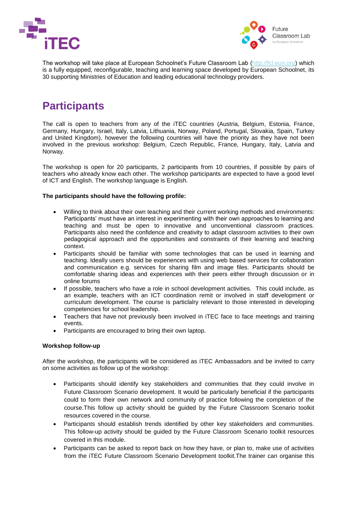



The workshop will take place at European Schoolnet's Future Classroom Lab [\(http://fcl.eun.org\)](http://fcl.eun.org/) which is a fully equipped, reconfigurable, teaching and learning space developed by European Schoolnet, its 30 supporting Ministries of Education and leading educational technology providers.

# **Participants**

The call is open to teachers from any of the iTEC countries (Austria, Belgium, Estonia, France, Germany, Hungary, Israel, Italy, Latvia, Lithuania, Norway, Poland, Portugal, Slovakia, Spain, Turkey and United Kingdom), however the following countries will have the priority as they have not been involved in the previous workshop: Belgium, Czech Republic, France, Hungary, Italy, Latvia and Norway.

The workshop is open for 20 participants, 2 participants from 10 countries, if possible by pairs of teachers who already know each other. The workshop participants are expected to have a good level of ICT and English. The workshop language is English.

#### **The participants should have the following profile:**

- Willing to think about their own teaching and their current working methods and environments: Participants' must have an interest in experimenting with their own approaches to learning and teaching and must be open to innovative and unconventional classroom practices. Participants also need the confidence and creativity to adapt classroom activities to their own pedagogical approach and the opportunities and constraints of their learning and teaching context.
- Participants should be familiar with some technologies that can be used in learning and teaching. Ideally users should be experiences with using web based services for collaboration and communication e.g. services for sharing film and image files. Participants should be comfortable sharing ideas and experiences with their peers either through discussion or in online forums
- If possible, teachers who have a role in school development activities. This could include, as an example, teachers with an ICT coordination remit or involved in staff development or curriculum development. The course is particlalry relevant to those interested in developing competencies for school leadership.
- Teachers that have not previously been involved in iTEC face to face meetings and training events.
- Participants are encouraged to bring their own laptop.

#### **Workshop follow-up**

After the workshop, the participants will be considered as iTEC Ambassadors and be invited to carry on some activities as follow up of the workshop:

- Participants should identify key stakeholders and communities that they could involve in Future Classroom Scenario development. It would be particularly beneficial if the participants could to form their own network and community of practice following the completion of the course.This follow up activity should be guided by the Future Classroom Scenario toolkit resources covered in the course.
- Participants should establish trends identified by other key stakeholders and communities. This follow-up activity should be guided by the Future Classroom Scenario toolkit resources covered in this module.
- Participants can be asked to report back on how they have, or plan to, make use of activities from the iTEC Future Classroom Scenario Development toolkit.The trainer can organise this